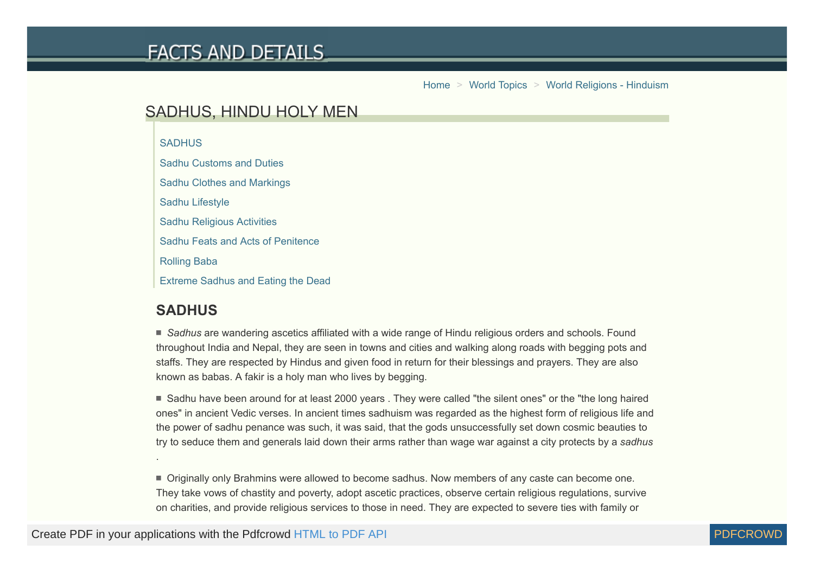# **FACTS AND DETAILS**

[Home](http://factsanddetails.com/) > [World Topics](http://factsanddetails.com/world/) > [World Religions - Hinduism](http://factsanddetails.com/world/cat55/sub354/)

# SADHUS, HINDU HOLY MEN

**[SADHUS](#page-0-0)** 

[Sadhu Customs and Duties](#page-1-0)

[Sadhu Clothes and Markings](#page-3-0)

[Sadhu Lifestyle](#page-3-1)

[Sadhu Religious Activities](#page-5-0)

[Sadhu Feats and Acts of Penitence](#page-5-1)

[Rolling Baba](#page-6-0)

[Extreme Sadhus and Eating the Dead](#page-9-0)

### <span id="page-0-0"></span>**SADHUS**

.

■ Sadhus are wandering ascetics affiliated with a wide range of Hindu religious orders and schools. Found throughout India and Nepal, they are seen in towns and cities and walking along roads with begging pots and staffs. They are respected by Hindus and given food in return for their blessings and prayers. They are also known as babas. A fakir is a holy man who lives by begging.

■ Sadhu have been around for at least 2000 years . They were called "the silent ones" or the "the long haired ones" in ancient Vedic verses. In ancient times sadhuism was regarded as the highest form of religious life and the power of sadhu penance was such, it was said, that the gods unsuccessfully set down cosmic beauties to try to seduce them and generals laid down their arms rather than wage war against a city protects by a *sadhus*

Originally only Brahmins were allowed to become sadhus. Now members of any caste can become one. They take vows of chastity and poverty, adopt ascetic practices, observe certain religious regulations, survive on charities, and provide religious services to those in need. They are expected to severe ties with family or

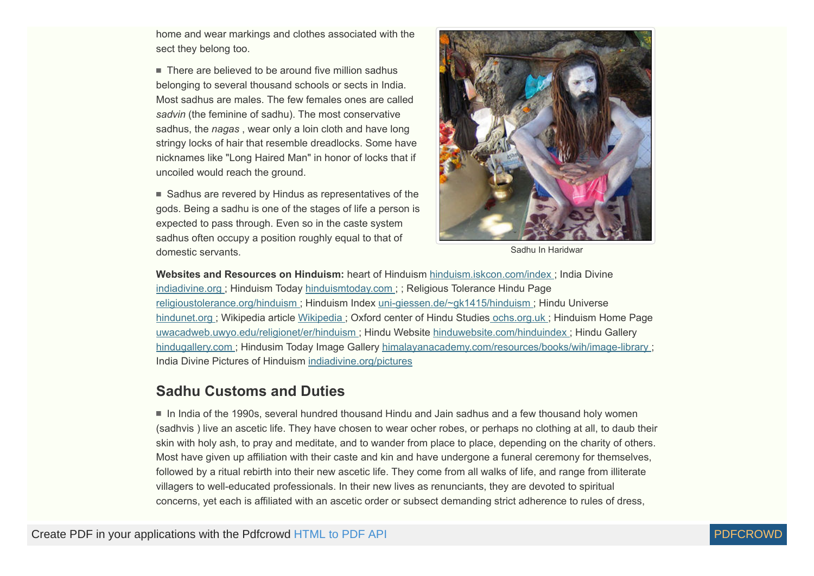home and wear markings and clothes associated with the sect they belong too.

 $\blacksquare$  There are believed to be around five million sadhus belonging to several thousand schools or sects in India. Most sadhus are males. The few females ones are called *sadvin* (the feminine of sadhu). The most conservative sadhus, the *nagas* , wear only a loin cloth and have long stringy locks of hair that resemble dreadlocks. Some have nicknames like "Long Haired Man" in honor of locks that if uncoiled would reach the ground.

 $\blacksquare$  Sadhus are revered by Hindus as representatives of the gods. Being a sadhu is one of the stages of life a person is expected to pass through. Even so in the caste system sadhus often occupy a position roughly equal to that of domestic servants.



Sadhu In Haridwar

**Websites and Resources on Hinduism:** heart of Hinduism [hinduism.iskcon.com/index](http://hinduism.iskcon.com/index.htm) ; India Divine [indiadivine.org ;](http://www.indiadivine.org/) Hinduism Today [hinduismtoday.com ;](http://www.hinduismtoday.com/) ; Religious Tolerance Hindu Page [religioustolerance.org/hinduism](http://www.religioustolerance.org/hinduism.htm) ; Hinduism Index [uni-giessen.de/~gk1415/hinduism](http://www.uni-giessen.de/~gk1415/hinduism.htm) ; Hindu Universe [hindunet.org ;](http://www.hindunet.org/) Wikipedia article [Wikipedia ;](http://en.wikipedia.org/wiki/Hinduism) Oxford center of Hindu Studies [ochs.org.uk](http://www.ochs.org.uk/) ; Hinduism Home Page [uwacadweb.uwyo.edu/religionet/er/hinduism](http://uwacadweb.uwyo.edu/religionet/er/hinduism/index.htm) ; Hindu Website [hinduwebsite.com/hinduindex](http://www.hinduwebsite.com/hinduindex.asp) ; Hindu Gallery [hindugallery.com](http://www.hindugallery.com/) ; Hindusim Today Image Gallery [himalayanacademy.com/resources/books/wih/image-library ;](http://www.himalayanacademy.com/resources/books/wih/image-library/) India Divine Pictures of Hinduism [indiadivine.org/pictures](http://www.indiadivine.org/pictures/)

#### <span id="page-1-0"></span>**Sadhu Customs and Duties**

In India of the 1990s, several hundred thousand Hindu and Jain sadhus and a few thousand holy women (sadhvis ) live an ascetic life. They have chosen to wear ocher robes, or perhaps no clothing at all, to daub their skin with holy ash, to pray and meditate, and to wander from place to place, depending on the charity of others. Most have given up affiliation with their caste and kin and have undergone a funeral ceremony for themselves, followed by a ritual rebirth into their new ascetic life. They come from all walks of life, and range from illiterate villagers to well-educated professionals. In their new lives as renunciants, they are devoted to spiritual concerns, yet each is affiliated with an ascetic order or subsect demanding strict adherence to rules of dress,

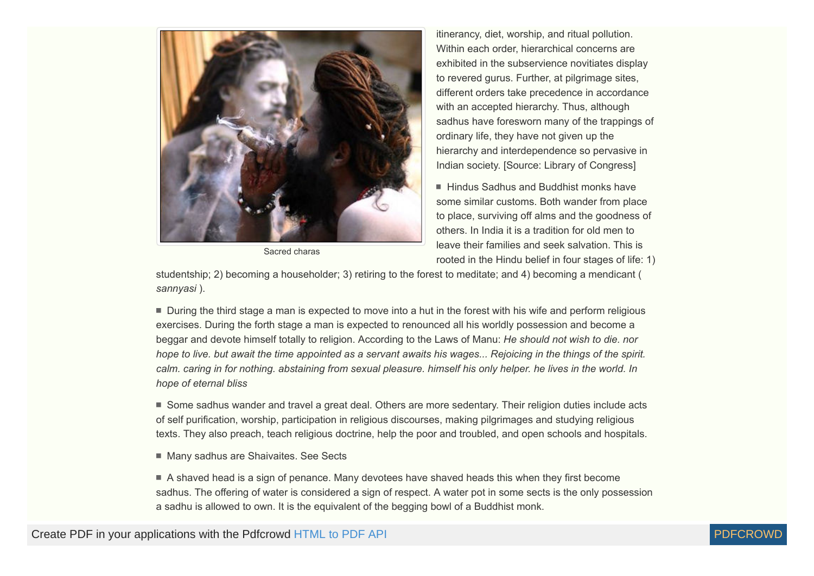

Sacred charas

itinerancy, diet, worship, and ritual pollution. Within each order, hierarchical concerns are exhibited in the subservience novitiates display to revered gurus. Further, at pilgrimage sites, different orders take precedence in accordance with an accepted hierarchy. Thus, although sadhus have foresworn many of the trappings of ordinary life, they have not given up the hierarchy and interdependence so pervasive in Indian society. [Source: Library of Congress]

■ Hindus Sadhus and Buddhist monks have some similar customs. Both wander from place to place, surviving off alms and the goodness of others. In India it is a tradition for old men to leave their families and seek salvation. This is rooted in the Hindu belief in four stages of life: 1)

studentship; 2) becoming a householder; 3) retiring to the forest to meditate; and 4) becoming a mendicant ( *sannyasi* ).

During the third stage a man is expected to move into a hut in the forest with his wife and perform religious exercises. During the forth stage a man is expected to renounced all his worldly possession and become a beggar and devote himself totally to religion. According to the Laws of Manu: *He should not wish to die. nor hope to live. but await the time appointed as a servant awaits his wages... Rejoicing in the things of the spirit. calm. caring in for nothing. abstaining from sexual pleasure. himself his only helper. he lives in the world. In hope of eternal bliss*

Some sadhus wander and travel a great deal. Others are more sedentary. Their religion duties include acts of self purification, worship, participation in religious discourses, making pilgrimages and studying religious texts. They also preach, teach religious doctrine, help the poor and troubled, and open schools and hospitals.

■ Many sadhus are Shaivaites. See Sects

A shaved head is a sign of penance. Many devotees have shaved heads this when they first become sadhus. The offering of water is considered a sign of respect. A water pot in some sects is the only possession a sadhu is allowed to own. It is the equivalent of the begging bowl of a Buddhist monk.

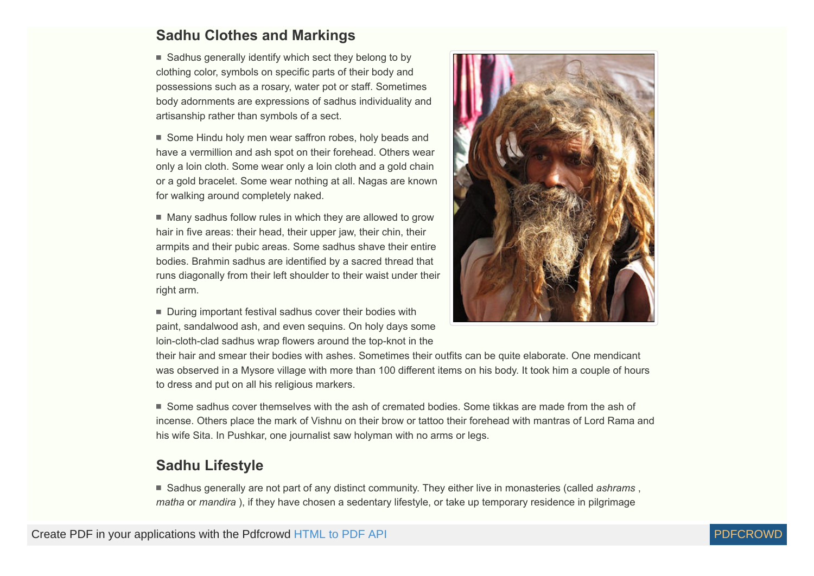### <span id="page-3-0"></span>**Sadhu Clothes and Markings**

 $\blacksquare$  Sadhus generally identify which sect they belong to by clothing color, symbols on specific parts of their body and possessions such as a rosary, water pot or staff. Sometimes body adornments are expressions of sadhus individuality and artisanship rather than symbols of a sect.

■ Some Hindu holy men wear saffron robes, holy beads and have a vermillion and ash spot on their forehead. Others wear only a loin cloth. Some wear only a loin cloth and a gold chain or a gold bracelet. Some wear nothing at all. Nagas are known for walking around completely naked.

 $\blacksquare$  Many sadhus follow rules in which they are allowed to grow hair in five areas: their head, their upper jaw, their chin, their armpits and their pubic areas. Some sadhus shave their entire bodies. Brahmin sadhus are identified by a sacred thread that runs diagonally from their left shoulder to their waist under their right arm.

During important festival sadhus cover their bodies with paint, sandalwood ash, and even sequins. On holy days some loin-cloth-clad sadhus wrap flowers around the top-knot in the



their hair and smear their bodies with ashes. Sometimes their outfits can be quite elaborate. One mendicant was observed in a Mysore village with more than 100 different items on his body. It took him a couple of hours to dress and put on all his religious markers.

Some sadhus cover themselves with the ash of cremated bodies. Some tikkas are made from the ash of incense. Others place the mark of Vishnu on their brow or tattoo their forehead with mantras of Lord Rama and his wife Sita. In Pushkar, one journalist saw holyman with no arms or legs.

#### <span id="page-3-1"></span>**Sadhu Lifestyle**

Sadhus generally are not part of any distinct community. They either live in monasteries (called *ashrams* , *matha* or *mandira* ), if they have chosen a sedentary lifestyle, or take up temporary residence in pilgrimage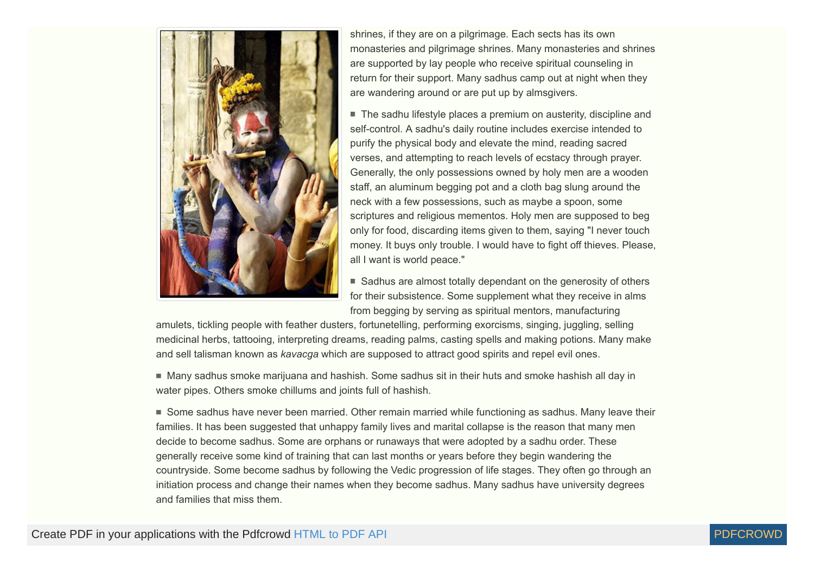

shrines, if they are on a pilgrimage. Each sects has its own monasteries and pilgrimage shrines. Many monasteries and shrines are supported by lay people who receive spiritual counseling in return for their support. Many sadhus camp out at night when they are wandering around or are put up by almsgivers.

■ The sadhu lifestyle places a premium on austerity, discipline and self-control. A sadhu's daily routine includes exercise intended to purify the physical body and elevate the mind, reading sacred verses, and attempting to reach levels of ecstacy through prayer. Generally, the only possessions owned by holy men are a wooden staff, an aluminum begging pot and a cloth bag slung around the neck with a few possessions, such as maybe a spoon, some scriptures and religious mementos. Holy men are supposed to beg only for food, discarding items given to them, saying "I never touch money. It buys only trouble. I would have to fight off thieves. Please, all I want is world peace."

■ Sadhus are almost totally dependant on the generosity of others for their subsistence. Some supplement what they receive in alms from begging by serving as spiritual mentors, manufacturing

amulets, tickling people with feather dusters, fortunetelling, performing exorcisms, singing, juggling, selling medicinal herbs, tattooing, interpreting dreams, reading palms, casting spells and making potions. Many make and sell talisman known as *kavacga* which are supposed to attract good spirits and repel evil ones.

 $\blacksquare$  Many sadhus smoke marijuana and hashish. Some sadhus sit in their huts and smoke hashish all day in water pipes. Others smoke chillums and joints full of hashish.

Some sadhus have never been married. Other remain married while functioning as sadhus. Many leave their families. It has been suggested that unhappy family lives and marital collapse is the reason that many men decide to become sadhus. Some are orphans or runaways that were adopted by a sadhu order. These generally receive some kind of training that can last months or years before they begin wandering the countryside. Some become sadhus by following the Vedic progression of life stages. They often go through an initiation process and change their names when they become sadhus. Many sadhus have university degrees and families that miss them.

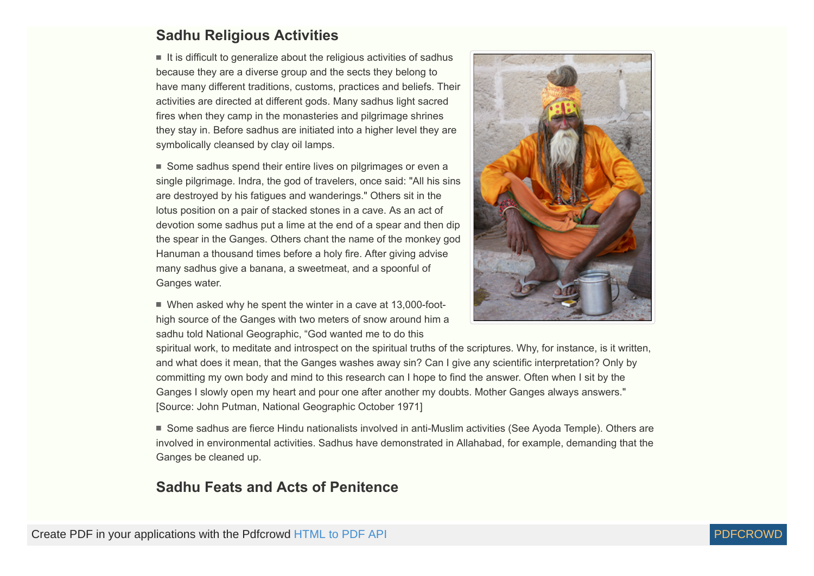#### <span id="page-5-0"></span>**Sadhu Religious Activities**

 $\blacksquare$  It is difficult to generalize about the religious activities of sadhus because they are a diverse group and the sects they belong to have many different traditions, customs, practices and beliefs. Their activities are directed at different gods. Many sadhus light sacred fires when they camp in the monasteries and pilgrimage shrines they stay in. Before sadhus are initiated into a higher level they are symbolically cleansed by clay oil lamps.

■ Some sadhus spend their entire lives on pilgrimages or even a single pilgrimage. Indra, the god of travelers, once said: "All his sins are destroyed by his fatigues and wanderings." Others sit in the lotus position on a pair of stacked stones in a cave. As an act of devotion some sadhus put a lime at the end of a spear and then dip the spear in the Ganges. Others chant the name of the monkey god Hanuman a thousand times before a holy fire. After giving advise many sadhus give a banana, a sweetmeat, and a spoonful of Ganges water.

■ When asked why he spent the winter in a cave at 13,000-foothigh source of the Ganges with two meters of snow around him a sadhu told National Geographic, "God wanted me to do this



spiritual work, to meditate and introspect on the spiritual truths of the scriptures. Why, for instance, is it written, and what does it mean, that the Ganges washes away sin? Can I give any scientific interpretation? Only by committing my own body and mind to this research can I hope to find the answer. Often when I sit by the Ganges I slowly open my heart and pour one after another my doubts. Mother Ganges always answers." [Source: John Putman, National Geographic October 1971]

Some sadhus are fierce Hindu nationalists involved in anti-Muslim activities (See Ayoda Temple). Others are involved in environmental activities. Sadhus have demonstrated in Allahabad, for example, demanding that the Ganges be cleaned up.

#### <span id="page-5-1"></span>**Sadhu Feats and Acts of Penitence**

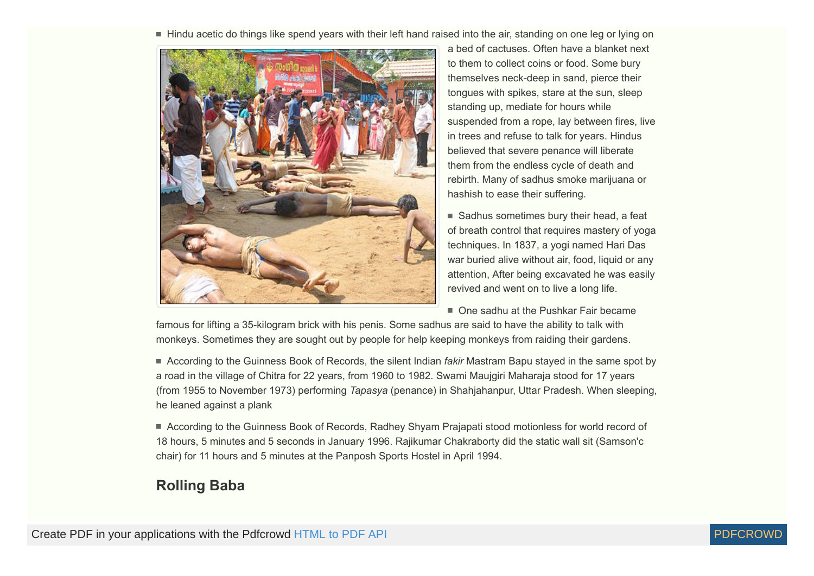Hindu acetic do things like spend years with their left hand raised into the air, standing on one leg or lying on



a bed of cactuses. Often have a blanket next to them to collect coins or food. Some bury themselves neck-deep in sand, pierce their tongues with spikes, stare at the sun, sleep standing up, mediate for hours while suspended from a rope, lay between fires, live in trees and refuse to talk for years. Hindus believed that severe penance will liberate them from the endless cycle of death and rebirth. Many of sadhus smoke marijuana or hashish to ease their suffering.

 $\blacksquare$  Sadhus sometimes bury their head, a feat of breath control that requires mastery of yoga techniques. In 1837, a yogi named Hari Das war buried alive without air, food, liquid or any attention, After being excavated he was easily revived and went on to live a long life.

■ One sadhu at the Pushkar Fair became

famous for lifting a 35-kilogram brick with his penis. Some sadhus are said to have the ability to talk with monkeys. Sometimes they are sought out by people for help keeping monkeys from raiding their gardens.

According to the Guinness Book of Records, the silent Indian *fakir* Mastram Bapu stayed in the same spot by a road in the village of Chitra for 22 years, from 1960 to 1982. Swami Maujgiri Maharaja stood for 17 years (from 1955 to November 1973) performing *Tapasya* (penance) in Shahjahanpur, Uttar Pradesh. When sleeping, he leaned against a plank

■ According to the Guinness Book of Records, Radhey Shyam Prajapati stood motionless for world record of 18 hours, 5 minutes and 5 seconds in January 1996. Rajikumar Chakraborty did the static wall sit (Samson'c chair) for 11 hours and 5 minutes at the Panposh Sports Hostel in April 1994.

# <span id="page-6-0"></span>**Rolling Baba**

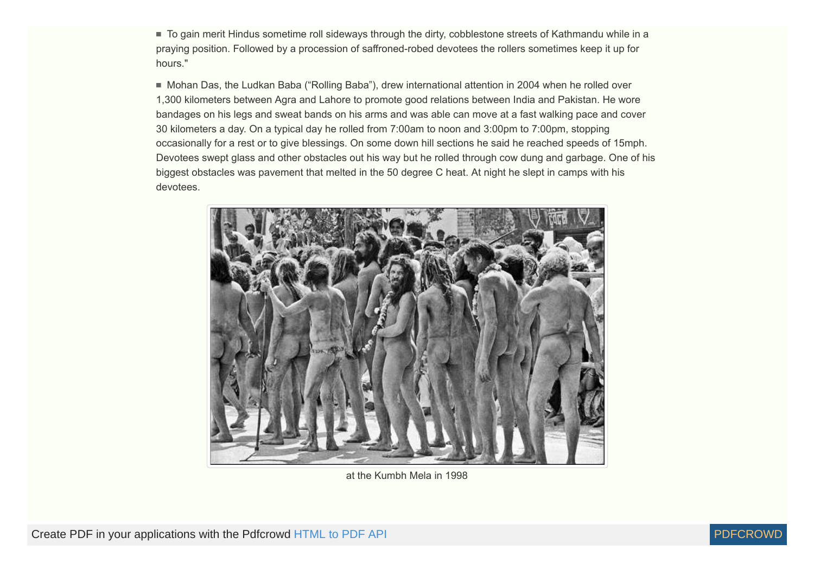■ To gain merit Hindus sometime roll sideways through the dirty, cobblestone streets of Kathmandu while in a praying position. Followed by a procession of saffroned-robed devotees the rollers sometimes keep it up for hours."

Mohan Das, the Ludkan Baba ("Rolling Baba"), drew international attention in 2004 when he rolled over 1,300 kilometers between Agra and Lahore to promote good relations between India and Pakistan. He wore bandages on his legs and sweat bands on his arms and was able can move at a fast walking pace and cover 30 kilometers a day. On a typical day he rolled from 7:00am to noon and 3:00pm to 7:00pm, stopping occasionally for a rest or to give blessings. On some down hill sections he said he reached speeds of 15mph. Devotees swept glass and other obstacles out his way but he rolled through cow dung and garbage. One of his biggest obstacles was pavement that melted in the 50 degree C heat. At night he slept in camps with his devotees.



at the Kumbh Mela in 1998

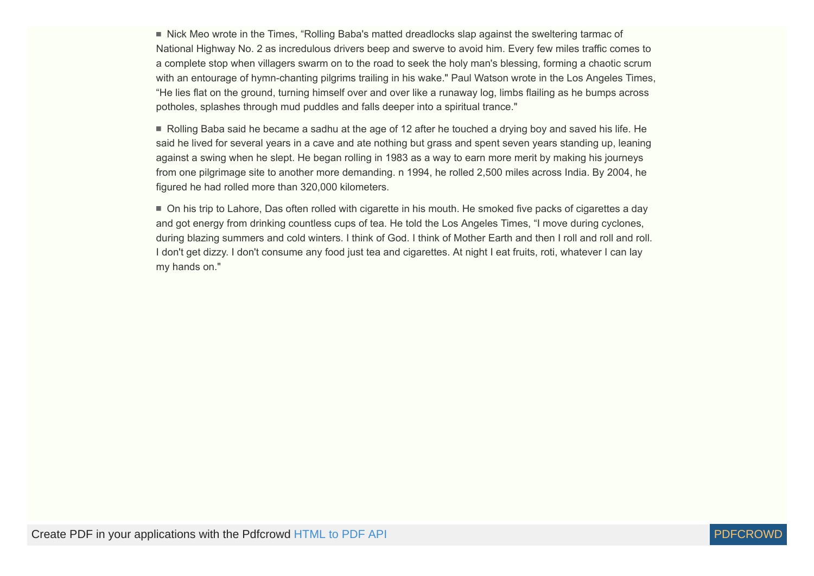■ Nick Meo wrote in the Times, "Rolling Baba's matted dreadlocks slap against the sweltering tarmac of National Highway No. 2 as incredulous drivers beep and swerve to avoid him. Every few miles traffic comes to a complete stop when villagers swarm on to the road to seek the holy man's blessing, forming a chaotic scrum with an entourage of hymn-chanting pilgrims trailing in his wake." Paul Watson wrote in the Los Angeles Times, "He lies flat on the ground, turning himself over and over like a runaway log, limbs flailing as he bumps across potholes, splashes through mud puddles and falls deeper into a spiritual trance."

Rolling Baba said he became a sadhu at the age of 12 after he touched a drying boy and saved his life. He said he lived for several years in a cave and ate nothing but grass and spent seven years standing up, leaning against a swing when he slept. He began rolling in 1983 as a way to earn more merit by making his journeys from one pilgrimage site to another more demanding. n 1994, he rolled 2,500 miles across India. By 2004, he figured he had rolled more than 320,000 kilometers.

On his trip to Lahore, Das often rolled with cigarette in his mouth. He smoked five packs of cigarettes a day and got energy from drinking countless cups of tea. He told the Los Angeles Times, "I move during cyclones, during blazing summers and cold winters. I think of God. I think of Mother Earth and then I roll and roll and roll. I don't get dizzy. I don't consume any food just tea and cigarettes. At night I eat fruits, roti, whatever I can lay my hands on."

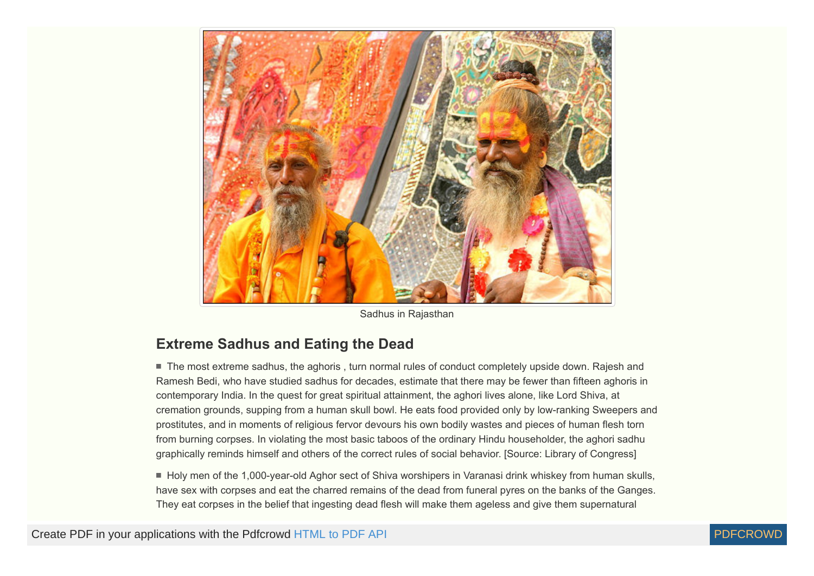

Sadhus in Rajasthan

### <span id="page-9-0"></span>**Extreme Sadhus and Eating the Dead**

■ The most extreme sadhus, the aghoris, turn normal rules of conduct completely upside down. Rajesh and Ramesh Bedi, who have studied sadhus for decades, estimate that there may be fewer than fifteen aghoris in contemporary India. In the quest for great spiritual attainment, the aghori lives alone, like Lord Shiva, at cremation grounds, supping from a human skull bowl. He eats food provided only by low-ranking Sweepers and prostitutes, and in moments of religious fervor devours his own bodily wastes and pieces of human flesh torn from burning corpses. In violating the most basic taboos of the ordinary Hindu householder, the aghori sadhu graphically reminds himself and others of the correct rules of social behavior. [Source: Library of Congress]

Holy men of the 1,000-year-old Aghor sect of Shiva worshipers in Varanasi drink whiskey from human skulls, have sex with corpses and eat the charred remains of the dead from funeral pyres on the banks of the Ganges. They eat corpses in the belief that ingesting dead flesh will make them ageless and give them supernatural

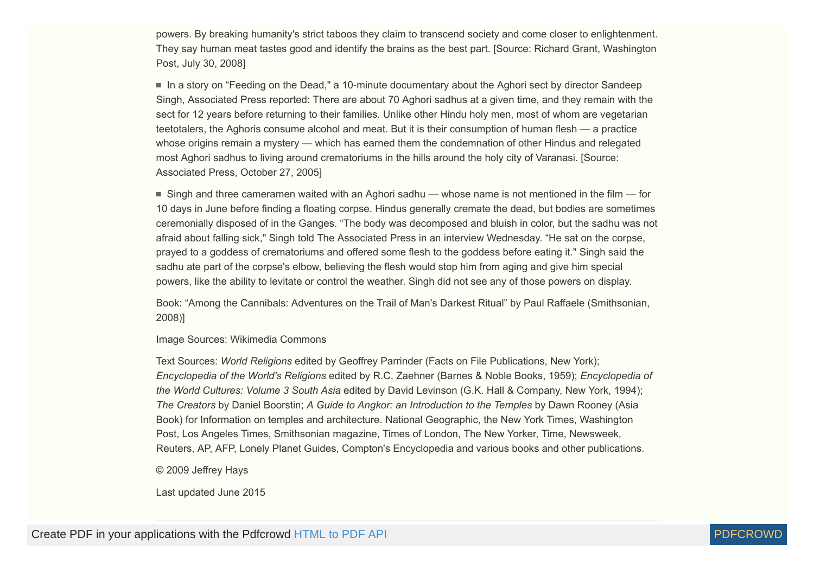powers. By breaking humanity's strict taboos they claim to transcend society and come closer to enlightenment. They say human meat tastes good and identify the brains as the best part. [Source: Richard Grant, Washington Post, July 30, 2008]

 In a story on "Feeding on the Dead," a 10-minute documentary about the Aghori sect by director Sandeep Singh, Associated Press reported: There are about 70 Aghori sadhus at a given time, and they remain with the sect for 12 years before returning to their families. Unlike other Hindu holy men, most of whom are vegetarian teetotalers, the Aghoris consume alcohol and meat. But it is their consumption of human flesh — a practice whose origins remain a mystery — which has earned them the condemnation of other Hindus and relegated most Aghori sadhus to living around crematoriums in the hills around the holy city of Varanasi. [Source: Associated Press, October 27, 2005]

 $\blacksquare$  Singh and three cameramen waited with an Aghori sadhu — whose name is not mentioned in the film — for 10 days in June before finding a floating corpse. Hindus generally cremate the dead, but bodies are sometimes ceremonially disposed of in the Ganges. "The body was decomposed and bluish in color, but the sadhu was not afraid about falling sick," Singh told The Associated Press in an interview Wednesday. "He sat on the corpse, prayed to a goddess of crematoriums and offered some flesh to the goddess before eating it." Singh said the sadhu ate part of the corpse's elbow, believing the flesh would stop him from aging and give him special powers, like the ability to levitate or control the weather. Singh did not see any of those powers on display.

Book: "Among the Cannibals: Adventures on the Trail of Man's Darkest Ritual" by Paul Raffaele (Smithsonian, 2008)]

Image Sources: Wikimedia Commons

Text Sources: *World Religions* edited by Geoffrey Parrinder (Facts on File Publications, New York); *Encyclopedia of the World's Religions* edited by R.C. Zaehner (Barnes & Noble Books, 1959); *Encyclopedia of the World Cultures: Volume 3 South Asia* edited by David Levinson (G.K. Hall & Company, New York, 1994); *The Creators* by Daniel Boorstin; *A Guide to Angkor: an Introduction to the Temples* by Dawn Rooney (Asia Book) for Information on temples and architecture. National Geographic, the New York Times, Washington Post, Los Angeles Times, Smithsonian magazine, Times of London, The New Yorker, Time, Newsweek, Reuters, AP, AFP, Lonely Planet Guides, Compton's Encyclopedia and various books and other publications.

© 2009 Jeffrey Hays

Last updated June 2015